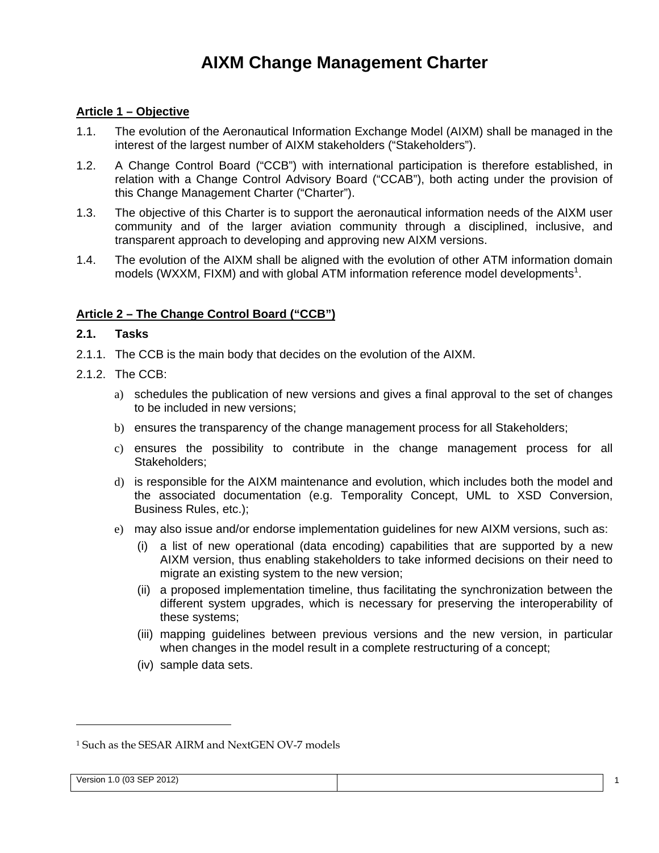# **AIXM Change Management Charter**

## **Article 1 – Objective**

- 1.1. The evolution of the Aeronautical Information Exchange Model (AIXM) shall be managed in the interest of the largest number of AIXM stakeholders ("Stakeholders").
- 1.2. A Change Control Board ("CCB") with international participation is therefore established, in relation with a Change Control Advisory Board ("CCAB"), both acting under the provision of this Change Management Charter ("Charter").
- 1.3. The objective of this Charter is to support the aeronautical information needs of the AIXM user community and of the larger aviation community through a disciplined, inclusive, and transparent approach to developing and approving new AIXM versions.
- 1.4. The evolution of the AIXM shall be aligned with the evolution of other ATM information domain models (WXXM, FIXM) and with global ATM information reference model developments<sup>1</sup>.

## **Article 2 – The Change Control Board ("CCB")**

#### **2.1. Tasks**

- 2.1.1. The CCB is the main body that decides on the evolution of the AIXM.
- 2.1.2. The CCB:
	- a) schedules the publication of new versions and gives a final approval to the set of changes to be included in new versions;
	- b) ensures the transparency of the change management process for all Stakeholders;
	- c) ensures the possibility to contribute in the change management process for all Stakeholders;
	- d) is responsible for the AIXM maintenance and evolution, which includes both the model and the associated documentation (e.g. Temporality Concept, UML to XSD Conversion, Business Rules, etc.);
	- e) may also issue and/or endorse implementation guidelines for new AIXM versions, such as:
		- (i) a list of new operational (data encoding) capabilities that are supported by a new AIXM version, thus enabling stakeholders to take informed decisions on their need to migrate an existing system to the new version;
		- (ii) a proposed implementation timeline, thus facilitating the synchronization between the different system upgrades, which is necessary for preserving the interoperability of these systems;
		- (iii) mapping guidelines between previous versions and the new version, in particular when changes in the model result in a complete restructuring of a concept;
		- (iv) sample data sets.

Version 1.0 (03 SEP 2012) 2012 12:00 12:00 12:00 12:00 12:00 12:00 12:00 12:00 12:00 12:00 12:00 12:00 12:00 1

 $\overline{a}$ 

<sup>1</sup> Such as the SESAR AIRM and NextGEN OV-7 models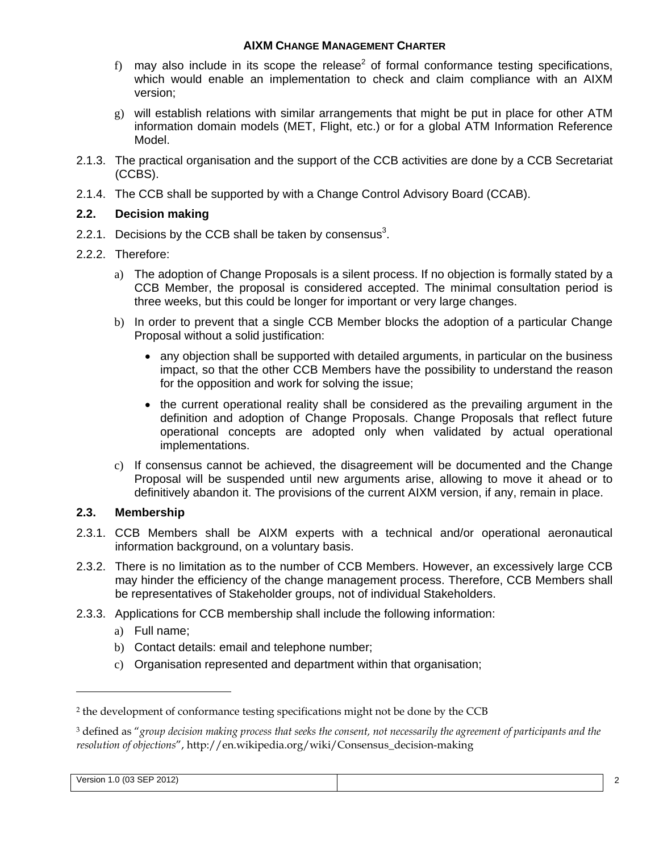#### **AIXM CHANGE MANAGEMENT CHARTER**

- f) may also include in its scope the release<sup>2</sup> of formal conformance testing specifications, which would enable an implementation to check and claim compliance with an AIXM version;
- g) will establish relations with similar arrangements that might be put in place for other ATM information domain models (MET, Flight, etc.) or for a global ATM Information Reference Model.
- 2.1.3. The practical organisation and the support of the CCB activities are done by a CCB Secretariat (CCBS).
- 2.1.4. The CCB shall be supported by with a Change Control Advisory Board (CCAB).

## **2.2. Decision making**

- 2.2.1. Decisions by the CCB shall be taken by consensus<sup>3</sup>.
- 2.2.2. Therefore:
	- a) The adoption of Change Proposals is a silent process. If no objection is formally stated by a CCB Member, the proposal is considered accepted. The minimal consultation period is three weeks, but this could be longer for important or very large changes.
	- b) In order to prevent that a single CCB Member blocks the adoption of a particular Change Proposal without a solid justification:
		- any objection shall be supported with detailed arguments, in particular on the business impact, so that the other CCB Members have the possibility to understand the reason for the opposition and work for solving the issue;
		- the current operational reality shall be considered as the prevailing argument in the definition and adoption of Change Proposals. Change Proposals that reflect future operational concepts are adopted only when validated by actual operational implementations.
	- c) If consensus cannot be achieved, the disagreement will be documented and the Change Proposal will be suspended until new arguments arise, allowing to move it ahead or to definitively abandon it. The provisions of the current AIXM version, if any, remain in place.

# **2.3. Membership**

- 2.3.1. CCB Members shall be AIXM experts with a technical and/or operational aeronautical information background, on a voluntary basis.
- 2.3.2. There is no limitation as to the number of CCB Members. However, an excessively large CCB may hinder the efficiency of the change management process. Therefore, CCB Members shall be representatives of Stakeholder groups, not of individual Stakeholders.
- 2.3.3. Applications for CCB membership shall include the following information:
	- a) Full name;

 $\overline{a}$ 

- b) Contact details: email and telephone number;
- c) Organisation represented and department within that organisation;

<sup>3</sup> defined as "*group decision making process that seeks the consent, not necessarily the agreement of participants and the resolution of objections*", http://en.wikipedia.org/wiki/Consensus\_decision-making

| CFT<br>2012<br>$1.0(03$ SEP $\hat{ }$<br>Version<br>. |  |
|-------------------------------------------------------|--|
|                                                       |  |

<sup>2</sup> the development of conformance testing specifications might not be done by the CCB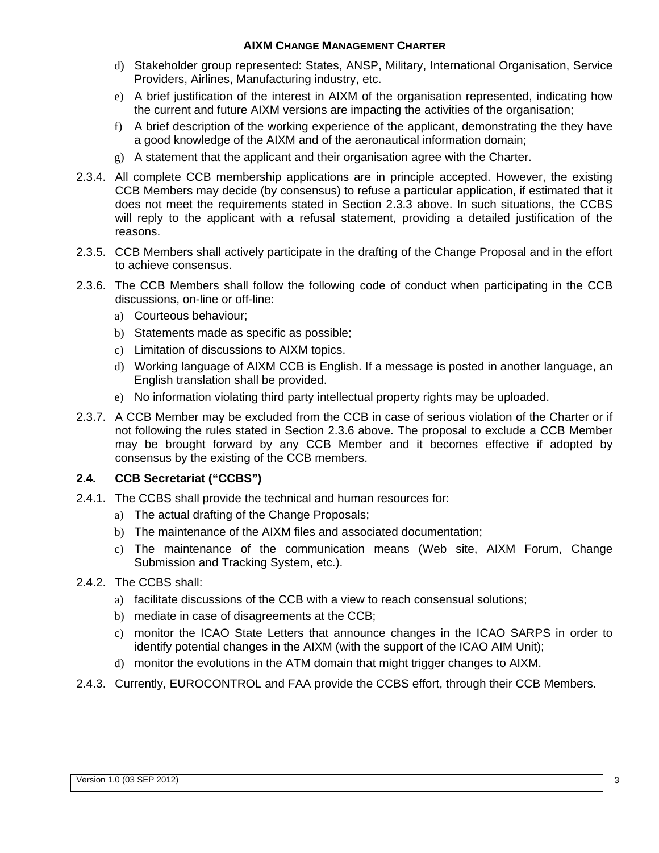#### **AIXM CHANGE MANAGEMENT CHARTER**

- d) Stakeholder group represented: States, ANSP, Military, International Organisation, Service Providers, Airlines, Manufacturing industry, etc.
- e) A brief justification of the interest in AIXM of the organisation represented, indicating how the current and future AIXM versions are impacting the activities of the organisation;
- f) A brief description of the working experience of the applicant, demonstrating the they have a good knowledge of the AIXM and of the aeronautical information domain;
- g) A statement that the applicant and their organisation agree with the Charter.
- 2.3.4. All complete CCB membership applications are in principle accepted. However, the existing CCB Members may decide (by consensus) to refuse a particular application, if estimated that it does not meet the requirements stated in Section 2.3.3 above. In such situations, the CCBS will reply to the applicant with a refusal statement, providing a detailed justification of the reasons.
- 2.3.5. CCB Members shall actively participate in the drafting of the Change Proposal and in the effort to achieve consensus.
- 2.3.6. The CCB Members shall follow the following code of conduct when participating in the CCB discussions, on-line or off-line:
	- a) Courteous behaviour;
	- b) Statements made as specific as possible;
	- c) Limitation of discussions to AIXM topics.
	- d) Working language of AIXM CCB is English. If a message is posted in another language, an English translation shall be provided.
	- e) No information violating third party intellectual property rights may be uploaded.
- 2.3.7. A CCB Member may be excluded from the CCB in case of serious violation of the Charter or if not following the rules stated in Section 2.3.6 above. The proposal to exclude a CCB Member may be brought forward by any CCB Member and it becomes effective if adopted by consensus by the existing of the CCB members.

# **2.4. CCB Secretariat ("CCBS")**

- 2.4.1. The CCBS shall provide the technical and human resources for:
	- a) The actual drafting of the Change Proposals;
	- b) The maintenance of the AIXM files and associated documentation;
	- c) The maintenance of the communication means (Web site, AIXM Forum, Change Submission and Tracking System, etc.).

# 2.4.2. The CCBS shall:

- a) facilitate discussions of the CCB with a view to reach consensual solutions;
- b) mediate in case of disagreements at the CCB;
- c) monitor the ICAO State Letters that announce changes in the ICAO SARPS in order to identify potential changes in the AIXM (with the support of the ICAO AIM Unit);
- d) monitor the evolutions in the ATM domain that might trigger changes to AIXM.
- 2.4.3. Currently, EUROCONTROL and FAA provide the CCBS effort, through their CCB Members.

| Version 1.0 (03 SEP 2012) |  |  |
|---------------------------|--|--|
|---------------------------|--|--|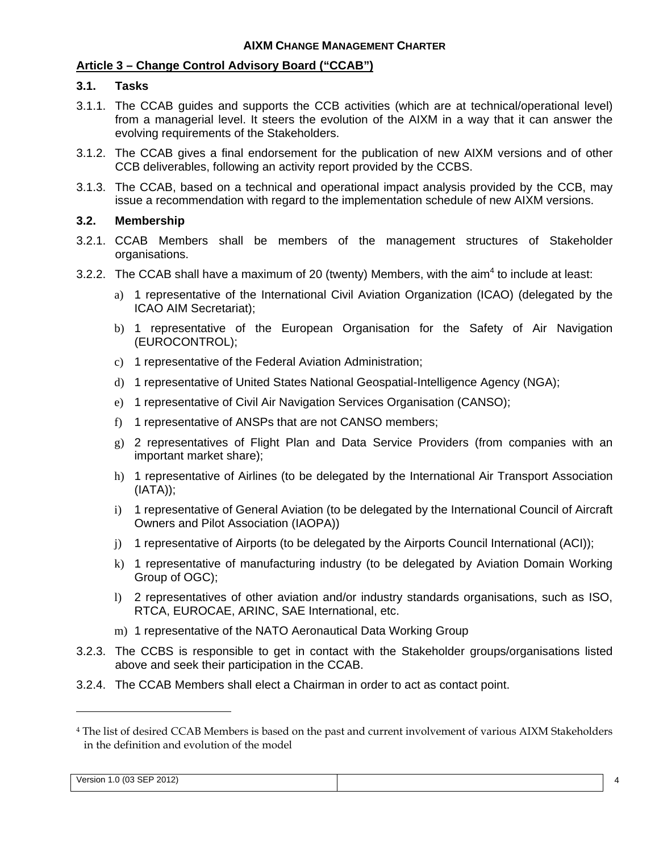## **Article 3 – Change Control Advisory Board ("CCAB")**

#### **3.1. Tasks**

- 3.1.1. The CCAB guides and supports the CCB activities (which are at technical/operational level) from a managerial level. It steers the evolution of the AIXM in a way that it can answer the evolving requirements of the Stakeholders.
- 3.1.2. The CCAB gives a final endorsement for the publication of new AIXM versions and of other CCB deliverables, following an activity report provided by the CCBS.
- 3.1.3. The CCAB, based on a technical and operational impact analysis provided by the CCB, may issue a recommendation with regard to the implementation schedule of new AIXM versions.

#### **3.2. Membership**

- 3.2.1. CCAB Members shall be members of the management structures of Stakeholder organisations.
- 3.2.2. The CCAB shall have a maximum of 20 (twenty) Members, with the aim<sup>4</sup> to include at least:
	- a) 1 representative of the International Civil Aviation Organization (ICAO) (delegated by the ICAO AIM Secretariat);
	- b) 1 representative of the European Organisation for the Safety of Air Navigation (EUROCONTROL);
	- c) 1 representative of the Federal Aviation Administration;
	- d) 1 representative of United States National Geospatial-Intelligence Agency (NGA);
	- e) 1 representative of Civil Air Navigation Services Organisation (CANSO);
	- f) 1 representative of ANSPs that are not CANSO members;
	- g) 2 representatives of Flight Plan and Data Service Providers (from companies with an important market share);
	- h) 1 representative of Airlines (to be delegated by the International Air Transport Association  $(IATA)$ ;
	- i) 1 representative of General Aviation (to be delegated by the International Council of Aircraft Owners and Pilot Association (IAOPA))
	- j) 1 representative of Airports (to be delegated by the Airports Council International (ACI));
	- k) 1 representative of manufacturing industry (to be delegated by Aviation Domain Working Group of OGC);
	- l) 2 representatives of other aviation and/or industry standards organisations, such as ISO, RTCA, EUROCAE, ARINC, SAE International, etc.
	- m) 1 representative of the NATO Aeronautical Data Working Group
- 3.2.3. The CCBS is responsible to get in contact with the Stakeholder groups/organisations listed above and seek their participation in the CCAB.
- 3.2.4. The CCAB Members shall elect a Chairman in order to act as contact point.

Version 1.0 (03 SEP 2012) 4

 $\overline{a}$ 

<sup>4</sup> The list of desired CCAB Members is based on the past and current involvement of various AIXM Stakeholders in the definition and evolution of the model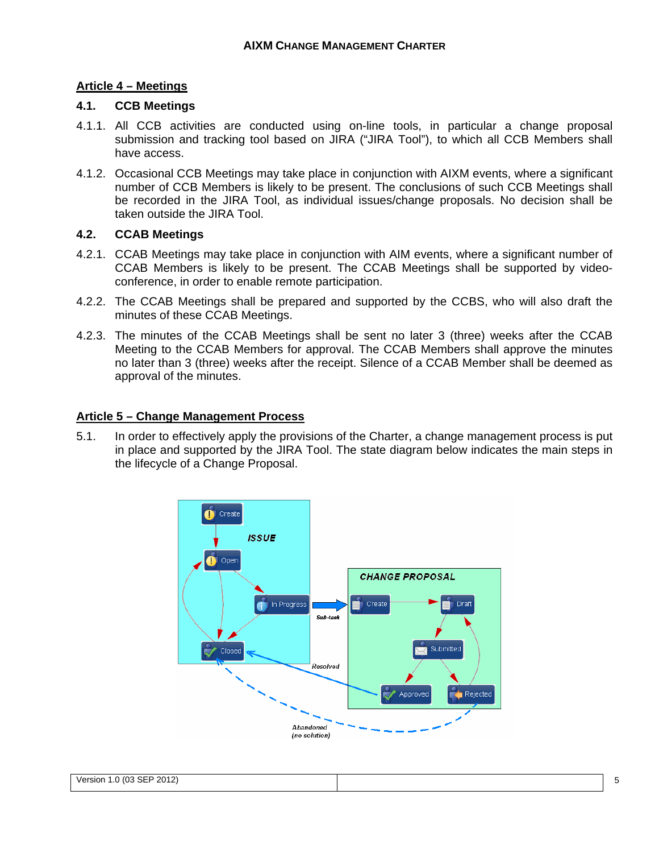## **Article 4 – Meetings**

#### **4.1. CCB Meetings**

- 4.1.1. All CCB activities are conducted using on-line tools, in particular a change proposal submission and tracking tool based on JIRA ("JIRA Tool"), to which all CCB Members shall have access.
- 4.1.2. Occasional CCB Meetings may take place in conjunction with AIXM events, where a significant number of CCB Members is likely to be present. The conclusions of such CCB Meetings shall be recorded in the JIRA Tool, as individual issues/change proposals. No decision shall be taken outside the JIRA Tool.

#### **4.2. CCAB Meetings**

- 4.2.1. CCAB Meetings may take place in conjunction with AIM events, where a significant number of CCAB Members is likely to be present. The CCAB Meetings shall be supported by videoconference, in order to enable remote participation.
- 4.2.2. The CCAB Meetings shall be prepared and supported by the CCBS, who will also draft the minutes of these CCAB Meetings.
- 4.2.3. The minutes of the CCAB Meetings shall be sent no later 3 (three) weeks after the CCAB Meeting to the CCAB Members for approval. The CCAB Members shall approve the minutes no later than 3 (three) weeks after the receipt. Silence of a CCAB Member shall be deemed as approval of the minutes.

#### **Article 5 – Change Management Process**

5.1. In order to effectively apply the provisions of the Charter, a change management process is put in place and supported by the JIRA Tool. The state diagram below indicates the main steps in the lifecycle of a Change Proposal.